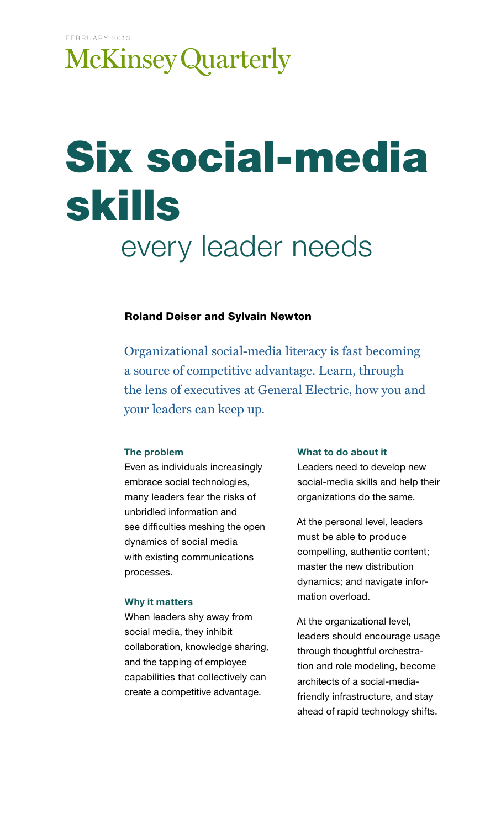# **McKinsey Quarterly**

# Six social-media skills every leader needs

#### Roland Deiser and Sylvain Newton

Organizational social-media literacy is fast becoming a source of competitive advantage. Learn, through the lens of executives at General Electric, how you and your leaders can keep up.

#### The problem

Even as individuals increasingly embrace social technologies, many leaders fear the risks of unbridled information and see difficulties meshing the open dynamics of social media with existing communications processes.

#### Why it matters

When leaders shy away from social media, they inhibit collaboration, knowledge sharing, and the tapping of employee capabilities that collectively can create a competitive advantage.

#### What to do about it

Leaders need to develop new social-media skills and help their organizations do the same.

At the personal level, leaders must be able to produce compelling, authentic content; master the new distribution dynamics; and navigate information overload.

At the organizational level, leaders should encourage usage through thoughtful orchestration and role modeling, become architects of a social-mediafriendly infrastructure, and stay ahead of rapid technology shifts.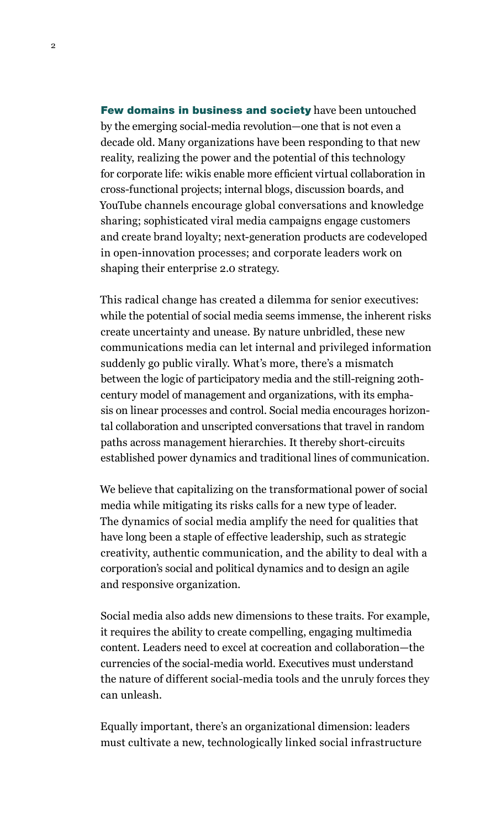Few domains in business and society have been untouched by the emerging social-media revolution—one that is not even a decade old. Many organizations have been responding to that new reality, realizing the power and the potential of this technology for corporate life: wikis enable more efficient virtual collaboration in cross-functional projects; internal blogs, discussion boards, and YouTube channels encourage global conversations and knowledge sharing; sophisticated viral media campaigns engage customers and create brand loyalty; next-generation products are codeveloped in open-innovation processes; and corporate leaders work on shaping their enterprise 2.0 strategy.

This radical change has created a dilemma for senior executives: while the potential of social media seems immense, the inherent risks create uncertainty and unease. By nature unbridled, these new communications media can let internal and privileged information suddenly go public virally. What's more, there's a mismatch between the logic of participatory media and the still-reigning 20thcentury model of management and organizations, with its emphasis on linear processes and control. Social media encourages horizontal collaboration and unscripted conversations that travel in random paths across management hierarchies. It thereby short-circuits established power dynamics and traditional lines of communication.

We believe that capitalizing on the transformational power of social media while mitigating its risks calls for a new type of leader. The dynamics of social media amplify the need for qualities that have long been a staple of effective leadership, such as strategic creativity, authentic communication, and the ability to deal with a corporation's social and political dynamics and to design an agile and responsive organization.

Social media also adds new dimensions to these traits. For example, it requires the ability to create compelling, engaging multimedia content. Leaders need to excel at cocreation and collaboration—the currencies of the social-media world. Executives must understand the nature of different social-media tools and the unruly forces they can unleash.

Equally important, there's an organizational dimension: leaders must cultivate a new, technologically linked social infrastructure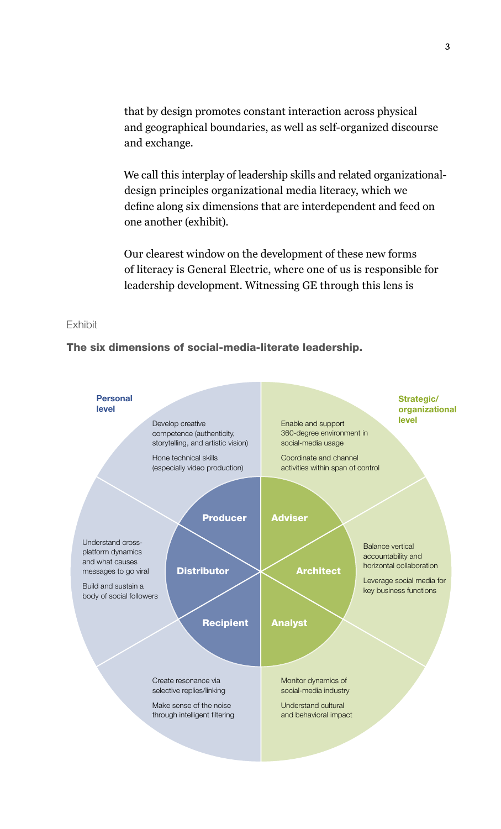that by design promotes constant interaction across physical and geographical boundaries, as well as self-organized discourse and exchange.

We call this interplay of leadership skills and related organizationaldesign principles organizational media literacy, which we define along six dimensions that are interdependent and feed on one another (exhibit).

Our clearest window on the development of these new forms of literacy is General Electric, where one of us is responsible for leadership development. Witnessing GE through this lens is

#### Exhibit

#### The six dimensions of social-media-literate leadership.

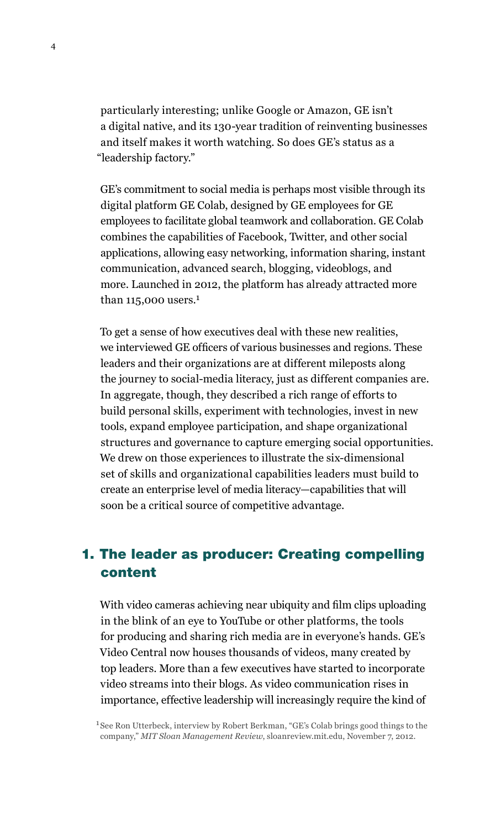particularly interesting; unlike Google or Amazon, GE isn't a digital native, and its 130-year tradition of reinventing businesses and itself makes it worth watching. So does GE's status as a "leadership factory."

GE's commitment to social media is perhaps most visible through its digital platform GE Colab, designed by GE employees for GE employees to facilitate global teamwork and collaboration. GE Colab combines the capabilities of Facebook, Twitter, and other social applications, allowing easy networking, information sharing, instant communication, advanced search, blogging, videoblogs, and more. Launched in 2012, the platform has already attracted more than  $115,000$  users.<sup>1</sup>

To get a sense of how executives deal with these new realities, we interviewed GE officers of various businesses and regions. These leaders and their organizations are at different mileposts along the journey to social-media literacy, just as different companies are. In aggregate, though, they described a rich range of efforts to build personal skills, experiment with technologies, invest in new tools, expand employee participation, and shape organizational structures and governance to capture emerging social opportunities. We drew on those experiences to illustrate the six-dimensional set of skills and organizational capabilities leaders must build to create an enterprise level of media literacy—capabilities that will soon be a critical source of competitive advantage.

# 1. The leader as producer: Creating compelling content

With video cameras achieving near ubiquity and film clips uploading in the blink of an eye to YouTube or other platforms, the tools for producing and sharing rich media are in everyone's hands. GE's Video Central now houses thousands of videos, many created by top leaders. More than a few executives have started to incorporate video streams into their blogs. As video communication rises in importance, effective leadership will increasingly require the kind of

<sup>1</sup> See Ron Utterbeck, interview by Robert Berkman, "GE's Colab brings good things to the company," *MIT Sloan Management Review*, sloanreview.mit.edu, November 7, 2012.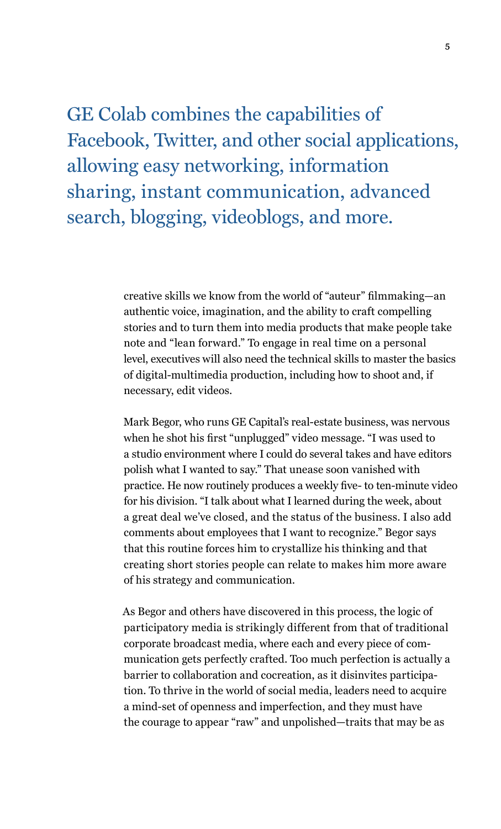GE Colab combines the capabilities of Facebook, Twitter, and other social applications, allowing easy networking, information sharing, instant communication, advanced search, blogging, videoblogs, and more.

> creative skills we know from the world of "auteur" filmmaking—an authentic voice, imagination, and the ability to craft compelling stories and to turn them into media products that make people take note and "lean forward." To engage in real time on a personal level, executives will also need the technical skills to master the basics of digital-multimedia production, including how to shoot and, if necessary, edit videos.

> Mark Begor, who runs GE Capital's real-estate business, was nervous when he shot his first "unplugged" video message. "I was used to a studio environment where I could do several takes and have editors polish what I wanted to say." That unease soon vanished with practice. He now routinely produces a weekly five- to ten-minute video for his division. "I talk about what I learned during the week, about a great deal we've closed, and the status of the business. I also add comments about employees that I want to recognize." Begor says that this routine forces him to crystallize his thinking and that creating short stories people can relate to makes him more aware of his strategy and communication.

As Begor and others have discovered in this process, the logic of participatory media is strikingly different from that of traditional corporate broadcast media, where each and every piece of communication gets perfectly crafted. Too much perfection is actually a barrier to collaboration and cocreation, as it disinvites participation. To thrive in the world of social media, leaders need to acquire a mind-set of openness and imperfection, and they must have the courage to appear "raw" and unpolished—traits that may be as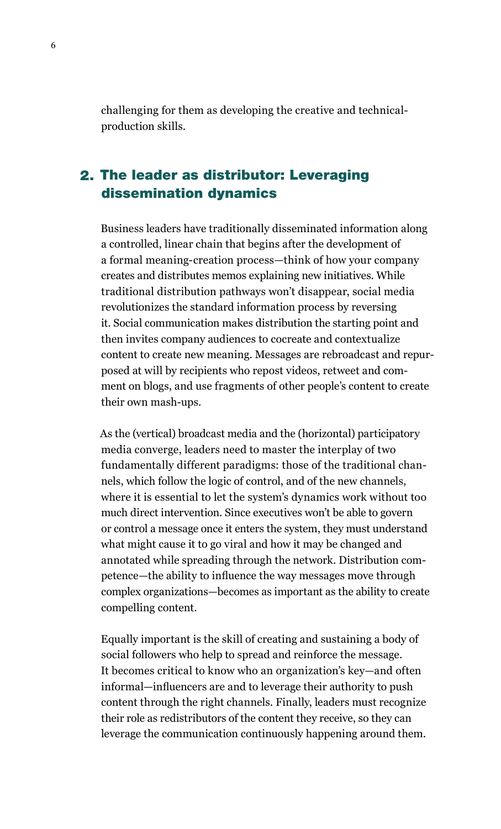challenging for them as developing the creative and technicalproduction skills.

# 2. The leader as distributor: Leveraging dissemination dynamics

Business leaders have traditionally disseminated information along a controlled, linear chain that begins after the development of a formal meaning-creation process—think of how your company creates and distributes memos explaining new initiatives. While traditional distribution pathways won't disappear, social media revolutionizes the standard information process by reversing it. Social communication makes distribution the starting point and then invites company audiences to cocreate and contextualize content to create new meaning. Messages are rebroadcast and repurposed at will by recipients who repost videos, retweet and comment on blogs, and use fragments of other people's content to create their own mash-ups.

As the (vertical) broadcast media and the (horizontal) participatory media converge, leaders need to master the interplay of two fundamentally different paradigms: those of the traditional channels, which follow the logic of control, and of the new channels, where it is essential to let the system's dynamics work without too much direct intervention. Since executives won't be able to govern or control a message once it enters the system, they must understand what might cause it to go viral and how it may be changed and annotated while spreading through the network. Distribution competence—the ability to influence the way messages move through complex organizations—becomes as important as the ability to create compelling content.

Equally important is the skill of creating and sustaining a body of social followers who help to spread and reinforce the message. It becomes critical to know who an organization's key—and often informal—influencers are and to leverage their authority to push content through the right channels. Finally, leaders must recognize their role as redistributors of the content they receive, so they can leverage the communication continuously happening around them.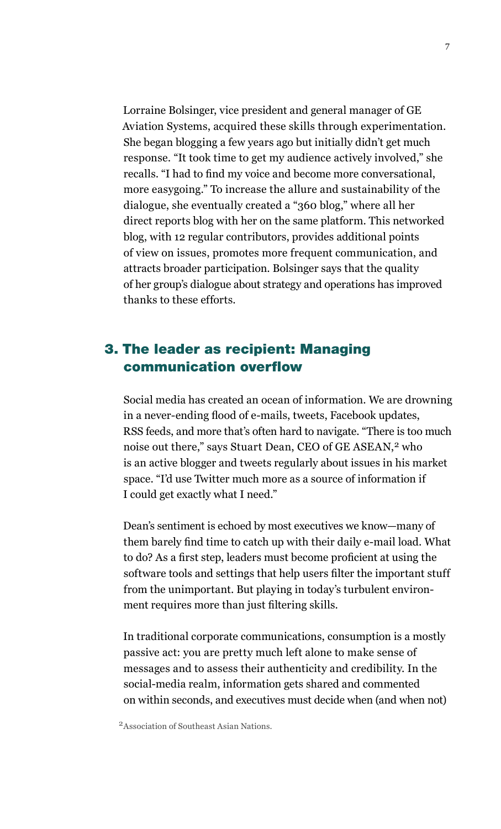Lorraine Bolsinger, vice president and general manager of GE Aviation Systems, acquired these skills through experimentation. She began blogging a few years ago but initially didn't get much response. "It took time to get my audience actively involved," she recalls. "I had to find my voice and become more conversational, more easygoing." To increase the allure and sustainability of the dialogue, she eventually created a "360 blog," where all her direct reports blog with her on the same platform. This networked blog, with 12 regular contributors, provides additional points of view on issues, promotes more frequent communication, and attracts broader participation. Bolsinger says that the quality of her group's dialogue about strategy and operations has improved thanks to these efforts.

# 3. The leader as recipient: Managing communication overflow

Social media has created an ocean of information. We are drowning in a never-ending flood of e-mails, tweets, Facebook updates, RSS feeds, and more that's often hard to navigate. "There is too much noise out there," says Stuart Dean, CEO of GE ASEAN,<sup>2</sup> who is an active blogger and tweets regularly about issues in his market space. "I'd use Twitter much more as a source of information if I could get exactly what I need."

Dean's sentiment is echoed by most executives we know—many of them barely find time to catch up with their daily e-mail load. What to do? As a first step, leaders must become proficient at using the software tools and settings that help users filter the important stuff from the unimportant. But playing in today's turbulent environment requires more than just filtering skills.

In traditional corporate communications, consumption is a mostly passive act: you are pretty much left alone to make sense of messages and to assess their authenticity and credibility. In the social-media realm, information gets shared and commented on within seconds, and executives must decide when (and when not)

2Association of Southeast Asian Nations.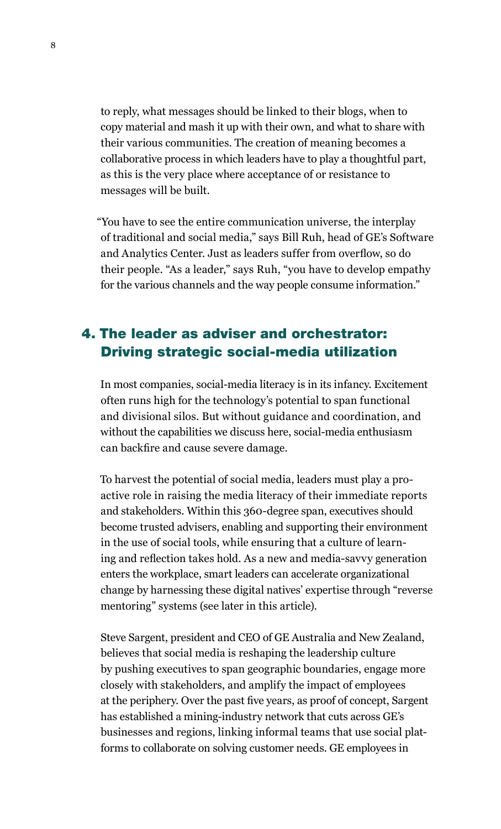to reply, what messages should be linked to their blogs, when to copy material and mash it up with their own, and what to share with their various communities. The creation of meaning becomes a collaborative process in which leaders have to play a thoughtful part, as this is the very place where acceptance of or resistance to messages will be built.

"You have to see the entire communication universe, the interplay of traditional and social media," says Bill Ruh, head of GE's Software and Analytics Center. Just as leaders suffer from overflow, so do their people. "As a leader," says Ruh, "you have to develop empathy for the various channels and the way people consume information."

# The leader as adviser and orchestrator: 4. Driving strategic social-media utilization

In most companies, social-media literacy is in its infancy. Excitement often runs high for the technology's potential to span functional and divisional silos. But without guidance and coordination, and without the capabilities we discuss here, social-media enthusiasm can backfire and cause severe damage.

To harvest the potential of social media, leaders must play a proactive role in raising the media literacy of their immediate reports and stakeholders. Within this 360-degree span, executives should become trusted advisers, enabling and supporting their environment in the use of social tools, while ensuring that a culture of learning and reflection takes hold. As a new and media-savvy generation enters the workplace, smart leaders can accelerate organizational change by harnessing these digital natives' expertise through "reverse mentoring" systems (see later in this article).

Steve Sargent, president and CEO of GE Australia and New Zealand, believes that social media is reshaping the leadership culture by pushing executives to span geographic boundaries, engage more closely with stakeholders, and amplify the impact of employees at the periphery. Over the past five years, as proof of concept, Sargent has established a mining-industry network that cuts across GE's businesses and regions, linking informal teams that use social platforms to collaborate on solving customer needs. GE employees in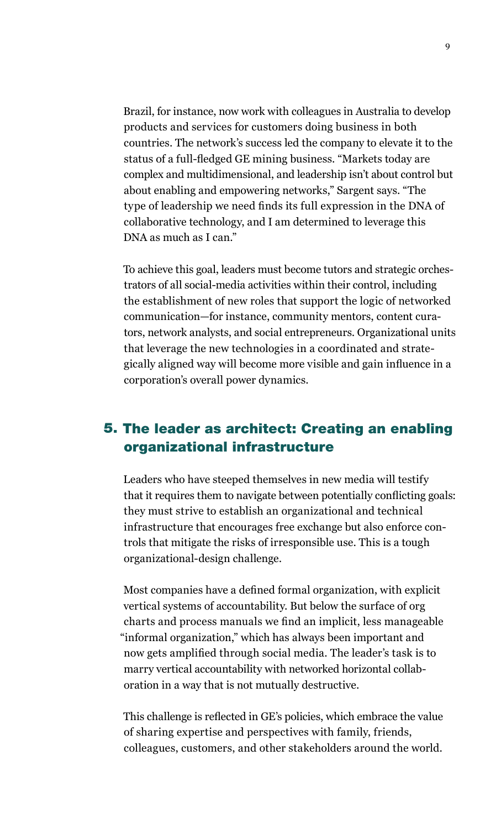Brazil, for instance, now work with colleagues in Australia to develop products and services for customers doing business in both countries. The network's success led the company to elevate it to the status of a full-fledged GE mining business. "Markets today are complex and multidimensional, and leadership isn't about control but about enabling and empowering networks," Sargent says. "The type of leadership we need finds its full expression in the DNA of collaborative technology, and I am determined to leverage this DNA as much as I can."

To achieve this goal, leaders must become tutors and strategic orchestrators of all social-media activities within their control, including the establishment of new roles that support the logic of networked communication—for instance, community mentors, content curators, network analysts, and social entrepreneurs. Organizational units that leverage the new technologies in a coordinated and strategically aligned way will become more visible and gain influence in a corporation's overall power dynamics.

# 5. The leader as architect: Creating an enabling organizational infrastructure

Leaders who have steeped themselves in new media will testify that it requires them to navigate between potentially conflicting goals: they must strive to establish an organizational and technical infrastructure that encourages free exchange but also enforce controls that mitigate the risks of irresponsible use. This is a tough organizational-design challenge.

Most companies have a defined formal organization, with explicit vertical systems of accountability. But below the surface of org charts and process manuals we find an implicit, less manageable "informal organization," which has always been important and now gets amplified through social media. The leader's task is to marry vertical accountability with networked horizontal collaboration in a way that is not mutually destructive.

This challenge is reflected in GE's policies, which embrace the value of sharing expertise and perspectives with family, friends, colleagues, customers, and other stakeholders around the world.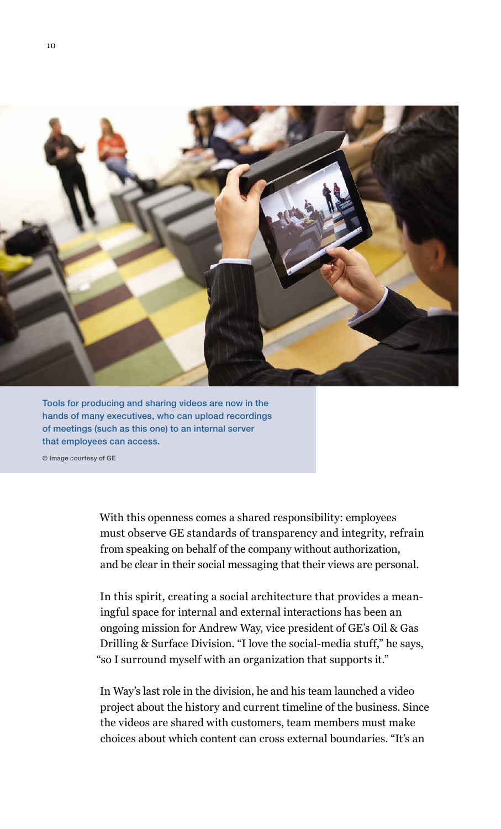

Tools for producing and sharing videos are now in the hands of many executives, who can upload recordings of meetings (such as this one) to an internal server that employees can access.

© Image courtesy of GE

With this openness comes a shared responsibility: employees must observe GE standards of transparency and integrity, refrain from speaking on behalf of the company without authorization, and be clear in their social messaging that their views are personal.

In this spirit, creating a social architecture that provides a meaningful space for internal and external interactions has been an ongoing mission for Andrew Way, vice president of GE's Oil & Gas Drilling & Surface Division. "I love the social-media stuff," he says, "so I surround myself with an organization that supports it."

In Way's last role in the division, he and his team launched a video project about the history and current timeline of the business. Since the videos are shared with customers, team members must make choices about which content can cross external boundaries. "It's an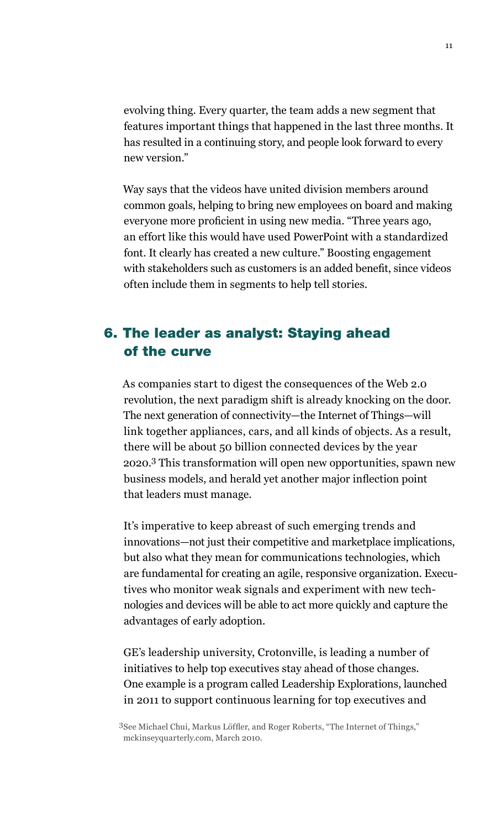evolving thing. Every quarter, the team adds a new segment that features important things that happened in the last three months. It has resulted in a continuing story, and people look forward to every new version."

Way says that the videos have united division members around common goals, helping to bring new employees on board and making everyone more proficient in using new media. "Three years ago, an effort like this would have used PowerPoint with a standardized font. It clearly has created a new culture." Boosting engagement with stakeholders such as customers is an added benefit, since videos often include them in segments to help tell stories.

# 6. The leader as analyst: Staying ahead of the curve

As companies start to digest the consequences of the Web 2.0 revolution, the next paradigm shift is already knocking on the door. The next generation of connectivity—the Internet of Things—will link together appliances, cars, and all kinds of objects. As a result, there will be about 50 billion connected devices by the year 2020.3 This transformation will open new opportunities, spawn new business models, and herald yet another major inflection point that leaders must manage.

It's imperative to keep abreast of such emerging trends and innovations—not just their competitive and marketplace implications, but also what they mean for communications technologies, which are fundamental for creating an agile, responsive organization. Executives who monitor weak signals and experiment with new technologies and devices will be able to act more quickly and capture the advantages of early adoption.

GE's leadership university, Crotonville, is leading a number of initiatives to help top executives stay ahead of those changes. One example is a program called Leadership Explorations, launched in 2011 to support continuous learning for top executives and

<sup>3</sup>See Michael Chui, Markus Löffler, and Roger Roberts, "The Internet of Things," mckinseyquarterly.com, March 2010.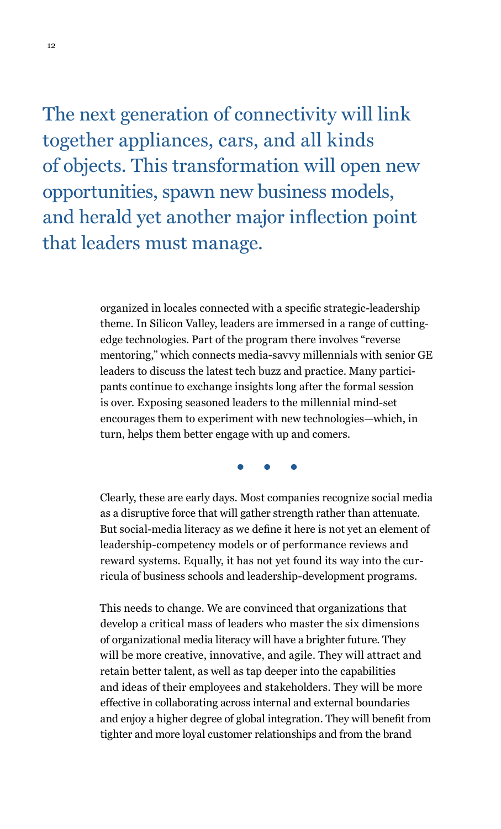The next generation of connectivity will link together appliances, cars, and all kinds of objects. This transformation will open new opportunities, spawn new business models, and herald yet another major inflection point that leaders must manage.

> organized in locales connected with a specific strategic-leadership theme. In Silicon Valley, leaders are immersed in a range of cuttingedge technologies. Part of the program there involves "reverse mentoring," which connects media-savvy millennials with senior GE leaders to discuss the latest tech buzz and practice. Many participants continue to exchange insights long after the formal session is over. Exposing seasoned leaders to the millennial mind-set encourages them to experiment with new technologies—which, in turn, helps them better engage with up and comers.

Clearly, these are early days. Most companies recognize social media as a disruptive force that will gather strength rather than attenuate. But social-media literacy as we define it here is not yet an element of leadership-competency models or of performance reviews and reward systems. Equally, it has not yet found its way into the curricula of business schools and leadership-development programs.

This needs to change. We are convinced that organizations that develop a critical mass of leaders who master the six dimensions of organizational media literacy will have a brighter future. They will be more creative, innovative, and agile. They will attract and retain better talent, as well as tap deeper into the capabilities and ideas of their employees and stakeholders. They will be more effective in collaborating across internal and external boundaries and enjoy a higher degree of global integration. They will benefit from tighter and more loyal customer relationships and from the brand